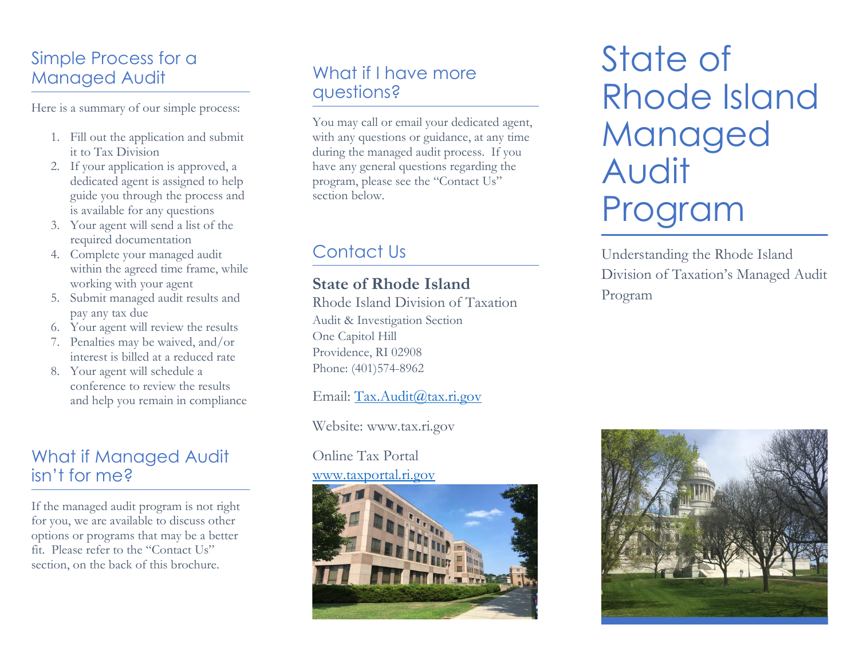# Simple Process for a Managed Audit

Here is a summary of our simple process:

- 1. Fill out the application and submit it to Tax Division
- 2. If your application is approved, a dedicated agent is assigned to help guide you through the process and is available for any questions
- 3. Your agent will send a list of the required documentation
- 4. Complete your managed audit within the agreed time frame, while working with your agent
- 5. Submit managed audit results and pay any tax due
- 6. Your agent will review the results
- 7. Penalties may be waived, and/or interest is billed at a reduced rate
- 8. Your agent will schedule a conference to review the results and help you remain in compliance

# What if Managed Audit isn't for me?

If the managed audit program is not right for you, we are available to discuss other options or programs that may be a better fit. Please refer to the "Contact Us" section, on the back of this brochure.

# What if I have more questions?

You may call or email your dedicated agent, with any questions or guidance, at any time during the managed audit process. If you have any general questions regarding the program, please see the "Contact Us" section below.

# Contact Us

#### **State of Rhode Island**

Rhode Island Division of Taxation Audit & Investigation Section One Capitol Hill Providence, RI 02908 Phone: (401)574-8962

Email: [Tax.Audit@tax.ri.gov](mailto:Tax.Audit@tax.ri.gov)

Website: www.tax.ri.gov

#### Online Tax Portal [www.taxportal.ri.gov](http://www.taxportal.ri.gov/)



State of Rhode Island Managed Audit Program

Understanding the Rhode Island Division of Taxation's Managed Audit Program